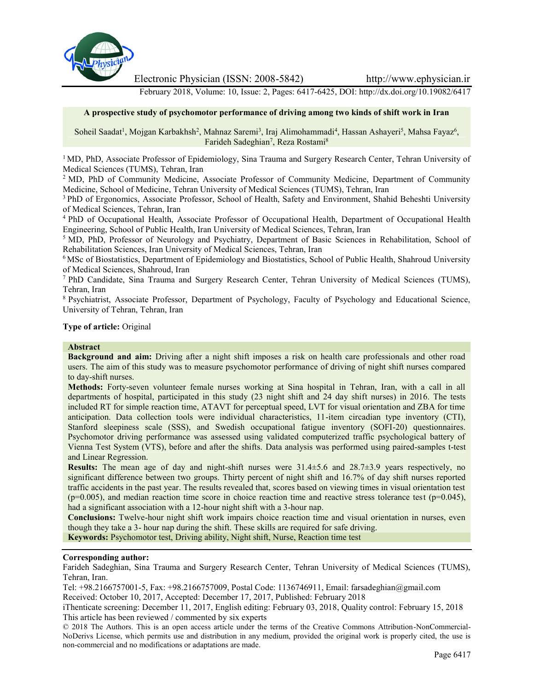

Electronic Physician (ISSN: 2008-5842) http://www.ephysician.ir

February 2018, Volume: 10, Issue: 2, Pages: 6417-6425, DOI: http://dx.doi.org/10.19082/6417

#### **A prospective study of psychomotor performance of driving among two kinds of shift work in Iran**

Soheil Saadat<sup>1</sup>, Mojgan Karbakhsh<sup>2</sup>, Mahnaz Saremi<sup>3</sup>, Iraj Alimohammadi<sup>4</sup>, Hassan Ashayeri<sup>5</sup>, Mahsa Fayaz<sup>6</sup>, Farideh Sadeghian<sup>7</sup>, Reza Rostami<sup>8</sup>

<sup>1</sup> MD, PhD, Associate Professor of Epidemiology, Sina Trauma and Surgery Research Center, Tehran University of Medical Sciences (TUMS), Tehran, Iran

<sup>2</sup> MD, PhD of Community Medicine, Associate Professor of Community Medicine, Department of Community Medicine, School of Medicine, Tehran University of Medical Sciences (TUMS), Tehran, Iran

<sup>3</sup> PhD of Ergonomics, Associate Professor, School of Health, Safety and Environment, Shahid Beheshti University of Medical Sciences, Tehran, Iran

<sup>4</sup> PhD of Occupational Health, Associate Professor of Occupational Health, Department of Occupational Health Engineering, School of Public Health, Iran University of Medical Sciences, Tehran, Iran

<sup>5</sup> MD, PhD, Professor of Neurology and Psychiatry, Department of Basic Sciences in Rehabilitation, School of Rehabilitation Sciences, Iran University of Medical Sciences, Tehran, Iran

<sup>6</sup> MSc of Biostatistics, Department of Epidemiology and Biostatistics, School of Public Health, Shahroud University of Medical Sciences, Shahroud, Iran

<sup>7</sup> PhD Candidate, Sina Trauma and Surgery Research Center, Tehran University of Medical Sciences (TUMS), Tehran, Iran

<sup>8</sup> Psychiatrist, Associate Professor, Department of Psychology, Faculty of Psychology and Educational Science, University of Tehran, Tehran, Iran

## **Type of article:** Original

#### **Abstract**

**Background and aim:** Driving after a night shift imposes a risk on health care professionals and other road users. The aim of this study was to measure psychomotor performance of driving of night shift nurses compared to day-shift nurses.

**Methods:** Forty-seven volunteer female nurses working at Sina hospital in Tehran, Iran, with a call in all departments of hospital, participated in this study (23 night shift and 24 day shift nurses) in 2016. The tests included RT for simple reaction time, ATAVT for perceptual speed, LVT for visual orientation and ZBA for time anticipation. Data collection tools were individual characteristics, 11-item circadian type inventory (CTI), Stanford sleepiness scale (SSS), and Swedish occupational fatigue inventory (SOFI-20) questionnaires. Psychomotor driving performance was assessed using validated computerized traffic psychological battery of Vienna Test System (VTS), before and after the shifts. Data analysis was performed using paired-samples t-test and Linear Regression.

**Results:** The mean age of day and night-shift nurses were 31.4±5.6 and 28.7±3.9 years respectively, no significant difference between two groups. Thirty percent of night shift and 16.7% of day shift nurses reported traffic accidents in the past year. The results revealed that, scores based on viewing times in visual orientation test  $(p=0.005)$ , and median reaction time score in choice reaction time and reactive stress tolerance test  $(p=0.045)$ , had a significant association with a 12-hour night shift with a 3-hour nap.

**Conclusions:** Twelve-hour night shift work impairs choice reaction time and visual orientation in nurses, even though they take a 3- hour nap during the shift. These skills are required for safe driving.

**Keywords:** Psychomotor test, Driving ability, Night shift, Nurse, Reaction time test

#### **Corresponding author:**

Farideh Sadeghian, Sina Trauma and Surgery Research Center, Tehran University of Medical Sciences (TUMS), Tehran, Iran.

Tel: +98.2166757001-5, Fax: +98.2166757009, Postal Code: 1136746911, Email: farsadeghian@gmail.com Received: October 10, 2017, Accepted: December 17, 2017, Published: February 2018

iThenticate screening: December 11, 2017, English editing: February 03, 2018, Quality control: February 15, 2018 This article has been reviewed / commented by six experts

<sup>© 2018</sup> The Authors. This is an open access article under the terms of the Creative Commons Attribution-NonCommercial- NoDerivs License, which permits use and distribution in any medium, provided the original work is properly cited, the use is non-commercial and no modifications or adaptations are made.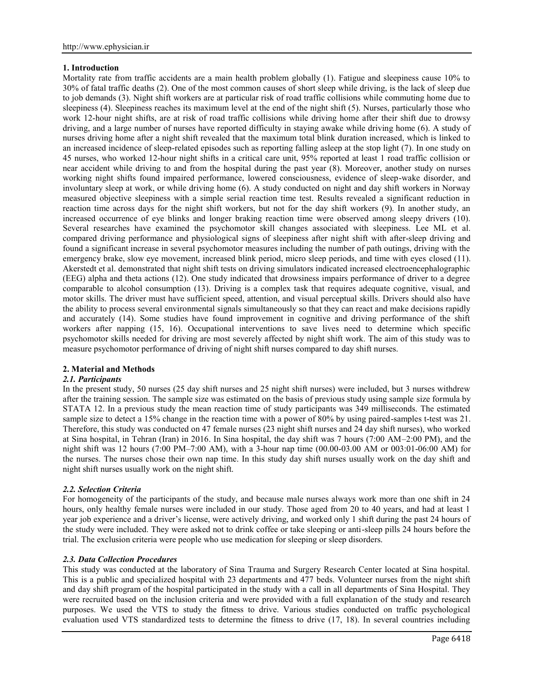## **1. Introduction**

Mortality rate from traffic accidents are a main health problem globally (1). Fatigue and sleepiness cause 10% to 30% of fatal traffic deaths (2). One of the most common causes of short sleep while driving, is the lack of sleep due to job demands (3). Night shift workers are at particular risk of road traffic collisions while commuting home due to sleepiness (4). Sleepiness reaches its maximum level at the end of the night shift (5). Nurses, particularly those who work 12-hour night shifts, are at risk of road traffic collisions while driving home after their shift due to drowsy driving, and a large number of nurses have reported difficulty in staying awake while driving home (6). A study of nurses driving home after a night shift revealed that the maximum total blink duration increased, which is linked to an increased incidence of sleep-related episodes such as reporting falling asleep at the stop light (7). In one study on 45 nurses, who worked 12-hour night shifts in a critical care unit, 95% reported at least 1 road traffic collision or near accident while driving to and from the hospital during the past year (8). Moreover, another study on nurses working night shifts found impaired performance, lowered consciousness, evidence of sleep-wake disorder, and involuntary sleep at work, or while driving home (6). A study conducted on night and day shift workers in Norway measured objective sleepiness with a simple serial reaction time test. Results revealed a significant reduction in reaction time across days for the night shift workers, but not for the day shift workers (9). In another study, an increased occurrence of eye blinks and longer braking reaction time were observed among sleepy drivers (10). Several researches have examined the psychomotor skill changes associated with sleepiness. Lee ML et al. compared driving performance and physiological signs of sleepiness after night shift with after-sleep driving and found a significant increase in several psychomotor measures including the number of path outings, driving with the emergency brake, slow eye movement, increased blink period, micro sleep periods, and time with eyes closed (11). Akerstedt et al. demonstrated that night shift tests on driving simulators indicated increased electroencephalographic (EEG) alpha and theta actions (12). One study indicated that drowsiness impairs performance of driver to a degree comparable to alcohol consumption (13). Driving is a complex task that requires adequate cognitive, visual, and motor skills. The driver must have sufficient speed, attention, and visual perceptual skills. Drivers should also have the ability to process several environmental signals simultaneously so that they can react and make decisions rapidly and accurately (14). Some studies have found improvement in cognitive and driving performance of the shift workers after napping (15, 16). Occupational interventions to save lives need to determine which specific psychomotor skills needed for driving are most severely affected by night shift work. The aim of this study was to measure psychomotor performance of driving of night shift nurses compared to day shift nurses.

## **2. Material and Methods**

#### *2.1. Participants*

In the present study, 50 nurses (25 day shift nurses and 25 night shift nurses) were included, but 3 nurses withdrew after the training session. The sample size was estimated on the basis of previous study using sample size formula by STATA 12. In a previous study the mean reaction time of study participants was 349 milliseconds. The estimated sample size to detect a 15% change in the reaction time with a power of 80% by using paired-samples t-test was 21. Therefore, this study was conducted on 47 female nurses (23 night shift nurses and 24 day shift nurses), who worked at Sina hospital, in Tehran (Iran) in 2016. In Sina hospital, the day shift was 7 hours (7:00 AM–2:00 PM), and the night shift was 12 hours (7:00 PM–7:00 AM), with a 3-hour nap time (00.00-03.00 AM or 003:01-06:00 AM) for the nurses. The nurses chose their own nap time. In this study day shift nurses usually work on the day shift and night shift nurses usually work on the night shift.

## *2.2. Selection Criteria*

For homogeneity of the participants of the study, and because male nurses always work more than one shift in 24 hours, only healthy female nurses were included in our study. Those aged from 20 to 40 years, and had at least 1 year job experience and a driver's license, were actively driving, and worked only 1 shift during the past 24 hours of the study were included. They were asked not to drink coffee or take sleeping or anti-sleep pills 24 hours before the trial. The exclusion criteria were people who use medication for sleeping or sleep disorders.

#### *2.3. Data Collection Procedures*

This study was conducted at the laboratory of Sina Trauma and Surgery Research Center located at Sina hospital. This is a public and specialized hospital with 23 departments and 477 beds. Volunteer nurses from the night shift and day shift program of the hospital participated in the study with a call in all departments of Sina Hospital. They were recruited based on the inclusion criteria and were provided with a full explanation of the study and research purposes. We used the VTS to study the fitness to drive. Various studies conducted on traffic psychological evaluation used VTS standardized tests to determine the fitness to drive (17, 18). In several countries including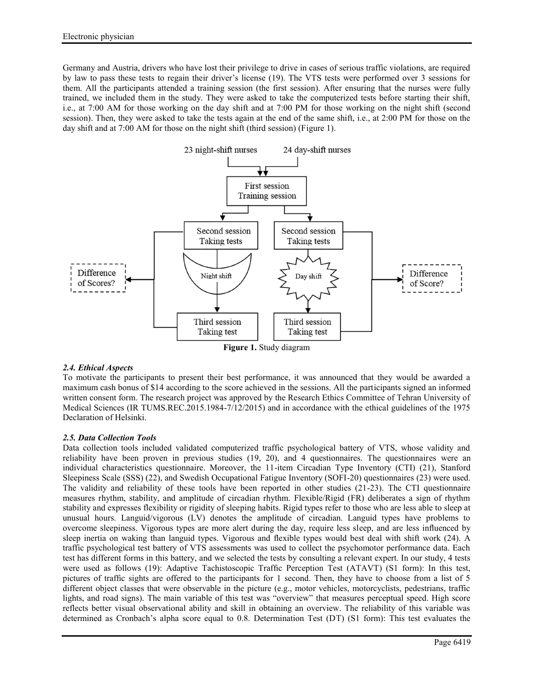Germany and Austria, drivers who have lost their privilege to drive in cases of serious traffic violations, are required by law to pass these tests to regain their driver's license (19). The VTS tests were performed over 3 sessions for them. All the participants attended a training session (the first session). After ensuring that the nurses were fully trained, we included them in the study. They were asked to take the computerized tests before starting their shift, i.e., at 7:00 AM for those working on the day shift and at 7:00 PM for those working on the night shift (second session). Then, they were asked to take the tests again at the end of the same shift, i.e., at 2:00 PM for those on the day shift and at 7:00 AM for those on the night shift (third session) (Figure 1).



## *2.4. Ethical Aspects*

To motivate the participants to present their best performance, it was announced that they would be awarded a maximum cash bonus of \$14 according to the score achieved in the sessions. All the participants signed an informed written consent form. The research project was approved by the Research Ethics Committee of Tehran University of Medical Sciences (IR TUMS.REC.2015.1984-7/12/2015) and in accordance with the ethical guidelines of the 1975 Declaration of Helsinki.

## *2.5. Data Collection Tools*

Data collection tools included validated computerized traffic psychological battery of VTS, whose validity and reliability have been proven in previous studies (19, 20), and 4 questionnaires. The questionnaires were an individual characteristics questionnaire. Moreover, the 11-item Circadian Type Inventory (CTI) (21), Stanford Sleepiness Scale (SSS) (22), and Swedish Occupational Fatigue Inventory (SOFI-20) questionnaires (23) were used. The validity and reliability of these tools have been reported in other studies (21-23). The CTI questionnaire measures rhythm, stability, and amplitude of circadian rhythm. Flexible/Rigid (FR) deliberates a sign of rhythm stability and expresses flexibility or rigidity of sleeping habits. Rigid types refer to those who are less able to sleep at unusual hours. Languid/vigorous (LV) denotes the amplitude of circadian. Languid types have problems to overcome sleepiness. Vigorous types are more alert during the day, require less sleep, and are less influenced by sleep inertia on waking than languid types. Vigorous and flexible types would best deal with shift work (24). A traffic psychological test battery of VTS assessments was used to collect the psychomotor performance data. Each test has different forms in this battery, and we selected the tests by consulting a relevant expert. In our study, 4 tests were used as follows (19): Adaptive Tachistoscopic Traffic Perception Test (ATAVT) (S1 form): In this test, pictures of traffic sights are offered to the participants for 1 second. Then, they have to choose from a list of 5 different object classes that were observable in the picture (e.g., motor vehicles, motorcyclists, pedestrians, traffic lights, and road signs). The main variable of this test was "overview" that measures perceptual speed. High score reflects better visual observational ability and skill in obtaining an overview. The reliability of this variable was determined as Cronbach's alpha score equal to 0.8. Determination Test (DT) (S1 form): This test evaluates the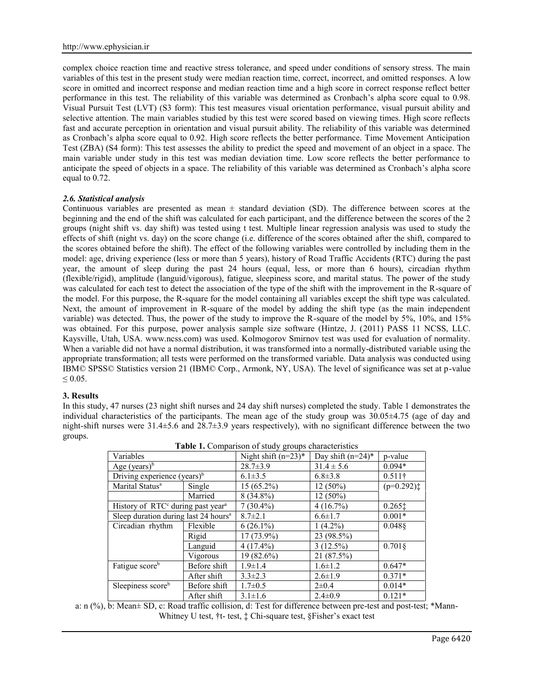complex choice reaction time and reactive stress tolerance, and speed under conditions of sensory stress. The main variables of this test in the present study were median reaction time, correct, incorrect, and omitted responses. A low score in omitted and incorrect response and median reaction time and a high score in correct response reflect better performance in this test. The reliability of this variable was determined as Cronbach's alpha score equal to 0.98. Visual Pursuit Test (LVT) (S3 form): This test measures visual orientation performance, visual pursuit ability and selective attention. The main variables studied by this test were scored based on viewing times. High score reflects fast and accurate perception in orientation and visual pursuit ability. The reliability of this variable was determined as Cronbach's alpha score equal to 0.92. High score reflects the better performance. Time Movement Anticipation Test (ZBA) (S4 form): This test assesses the ability to predict the speed and movement of an object in a space. The main variable under study in this test was median deviation time. Low score reflects the better performance to anticipate the speed of objects in a space. The reliability of this variable was determined as Cronbach's alpha score equal to 0.72.

## *2.6. Statistical analysis*

Continuous variables are presented as mean  $\pm$  standard deviation (SD). The difference between scores at the beginning and the end of the shift was calculated for each participant, and the difference between the scores of the 2 groups (night shift vs. day shift) was tested using t test. Multiple linear regression analysis was used to study the effects of shift (night vs. day) on the score change (i.e. difference of the scores obtained after the shift, compared to the scores obtained before the shift). The effect of the following variables were controlled by including them in the model: age, driving experience (less or more than 5 years), history of Road Traffic Accidents (RTC) during the past year, the amount of sleep during the past 24 hours (equal, less, or more than 6 hours), circadian rhythm (flexible/rigid), amplitude (languid/vigorous), fatigue, sleepiness score, and marital status. The power of the study was calculated for each test to detect the association of the type of the shift with the improvement in the R-square of the model. For this purpose, the R-square for the model containing all variables except the shift type was calculated. Next, the amount of improvement in R-square of the model by adding the shift type (as the main independent variable) was detected. Thus, the power of the study to improve the R-square of the model by 5%, 10%, and 15% was obtained. For this purpose, power analysis sample size software (Hintze, J. (2011) PASS 11 NCSS, LLC. Kaysville, Utah, USA. www.ncss.com) was used. Kolmogorov Smirnov test was used for evaluation of normality. When a variable did not have a normal distribution, it was transformed into a normally-distributed variable using the appropriate transformation; all tests were performed on the transformed variable. Data analysis was conducted using IBM© SPSS© Statistics version 21 (IBM© Corp., Armonk, NY, USA). The level of significance was set at p-value  $\leq 0.05$ .

#### **3. Results**

In this study, 47 nurses (23 night shift nurses and 24 day shift nurses) completed the study. Table 1 demonstrates the individual characteristics of the participants. The mean age of the study group was 30.05±4.75 (age of day and night-shift nurses were 31.4±5.6 and 28.7±3.9 years respectively), with no significant difference between the two groups.

| <b>Table 1.</b> Comparison of study groups characteristics |              |                        |                      |                                         |
|------------------------------------------------------------|--------------|------------------------|----------------------|-----------------------------------------|
| Variables                                                  |              | Night shift $(n=23)^*$ | Day shift $(n=24)^*$ | p-value                                 |
| Age $(years)^b$                                            |              | $28.7 \pm 3.9$         | $31.4 \pm 5.6$       | $0.094*$                                |
| Driving experience (years) $b$                             |              | $6.1 \pm 3.5$          | $6.8 \pm 3.8$        | $0.511\dagger$                          |
| Marital Status <sup>a</sup>                                | Single       | 15 (65.2%)             | $12(50\%)$           | $(p=0.292)$                             |
|                                                            | Married      | $8(34.8\%)$            | $12(50\%)$           |                                         |
| History of RTC <sup>c</sup> during past year <sup>a</sup>  |              | $7(30.4\%)$            | 4(16.7%)             | $0.265$ <sup><math>\dagger</math></sup> |
| Sleep duration during last 24 hours <sup>a</sup>           |              | $8.7 \pm 2.1$          | $6.6 \pm 1.7$        | $0.001*$                                |
| Circadian rhythm                                           | Flexible     | $6(26.1\%)$            | $1(4.2\%)$           | 0.0488                                  |
|                                                            | Rigid        | $17(73.9\%)$           | 23 (98.5%)           |                                         |
|                                                            | Languid      | $4(17.4\%)$            | $3(12.5\%)$          | $0.701\S$                               |
|                                                            | Vigorous     | $19(82.6\%)$           | 21 (87.5%)           |                                         |
| Fatigue score <sup>b</sup>                                 | Before shift | $1.9 \pm 1.4$          | $1.6 \pm 1.2$        | $0.647*$                                |
|                                                            | After shift  | $3.3 \pm 2.3$          | $2.6 \pm 1.9$        | $0.371*$                                |
| Sleepiness scoreb                                          | Before shift | $1.7 \pm 0.5$          | $2\pm 0.4$           | $0.014*$                                |
|                                                            | After shift  | $3.1 \pm 1.6$          | $2.4 \pm 0.9$        | $0.121*$                                |

**Table 1.** Comparison of study groups characteristics

a: n (%), b: Mean± SD, c: Road traffic collision, d: Test for difference between pre-test and post-test; \*Mann- Whitney U test, †t- test,  $\ddagger$  Chi-square test, §Fisher's exact test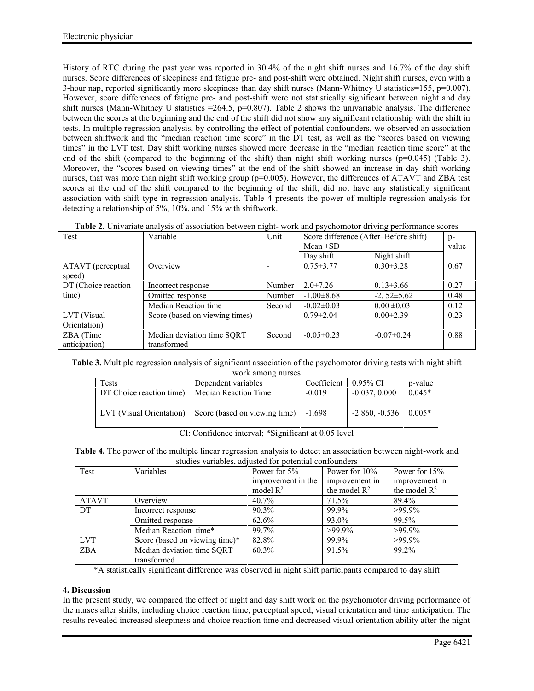History of RTC during the past year was reported in 30.4% of the night shift nurses and 16.7% of the day shift nurses. Score differences of sleepiness and fatigue pre- and post-shift were obtained. Night shift nurses, even with a 3-hour nap, reported significantly more sleepiness than day shift nurses (Mann-Whitney U statistics=155,  $p=0.007$ ). However, score differences of fatigue pre- and post-shift were not statistically significant between night and day shift nurses (Mann-Whitney U statistics  $=264.5$ , p=0.807). Table 2 shows the univariable analysis. The difference between the scores at the beginning and the end of the shift did not show any significant relationship with the shift in tests. In multiple regression analysis, by controlling the effect of potential confounders, we observed an association between shiftwork and the "median reaction time score" in the DT test, as well as the "scores based on viewing times" in the LVT test. Day shift working nurses showed more decrease in the "median reaction time score" at the end of the shift (compared to the beginning of the shift) than night shift working nurses (p=0.045) (Table 3). Moreover, the "scores based on viewing times" at the end of the shift showed an increase in day shift working nurses, that was more than night shift working group ( $p=0.005$ ). However, the differences of ATAVT and ZBA test scores at the end of the shift compared to the beginning of the shift, did not have any statistically significant association with shift type in regression analysis. Table 4 presents the power of multiple regression analysis for detecting a relationship of 5%, 10%, and 15% with shiftwork.

| Test                        | Variable                       | Unit   | Score difference (After-Before shift)<br>Mean $\pm SD$ |                  | $p-$<br>value |
|-----------------------------|--------------------------------|--------|--------------------------------------------------------|------------------|---------------|
|                             |                                |        | Day shift                                              | Night shift      |               |
| ATAVT (perceptual<br>speed) | Overview                       |        | $0.75 \pm 3.77$                                        | $0.30 \pm 3.28$  | 0.67          |
| DT (Choice reaction         | Incorrect response             | Number | $2.0 \pm 7.26$                                         | $0.13 \pm 3.66$  | 0.27          |
| time)                       | Omitted response               | Number | $-1.00 \pm 8.68$                                       | $-2.52 \pm 5.62$ | 0.48          |
|                             | Median Reaction time           | Second | $-0.02 \pm 0.03$                                       | $0.00 \pm 0.03$  | 0.12          |
| LVT (Visual                 | Score (based on viewing times) |        | $0.79 \pm 2.04$                                        | $0.00 \pm 2.39$  | 0.23          |
| Orientation)                |                                |        |                                                        |                  |               |
| ZBA (Time                   | Median deviation time SQRT     | Second | $-0.05 \pm 0.23$                                       | $-0.07 \pm 0.24$ | 0.88          |
| anticipation)               | transformed                    |        |                                                        |                  |               |

**Table 2.** Univariate analysis of association between night- work and psychomotor driving performance scores

**Table 3.** Multiple regression analysis of significant association of the psychomotor driving tests with night shift work among nurses

| Dependent variables           | Coefficient | $0.95\%$ CI     | p-value                 |
|-------------------------------|-------------|-----------------|-------------------------|
| <b>Median Reaction Time</b>   | $-0.019$    | $-0.037, 0.000$ | $0.045*$                |
|                               |             |                 |                         |
| Score (based on viewing time) | $-1.698$    |                 |                         |
|                               |             |                 |                         |
|                               |             |                 | $-2.860, -0.536$ 0.005* |

CI: Confidence interval; \*Significant at 0.05 level

**Table 4.** The power of the multiple linear regression analysis to detect an association between night-work and studies variables, adjusted for potential confounders

| Test       | Variables                      | Power for $5\%$    | Power for $10\%$ | Power for $15%$ |
|------------|--------------------------------|--------------------|------------------|-----------------|
|            |                                | improvement in the | improvement in   | improvement in  |
|            |                                | model $R^2$        | the model $R^2$  | the model $R^2$ |
| ATAVT      | Overview                       | 40.7%              | 71.5%            | 89.4%           |
| DT         | Incorrect response             | 90.3%              | 99.9%            | $>99.9\%$       |
|            | Omitted response               | 62.6%              | 93.0%            | 99.5%           |
|            | Median Reaction time*          | 99.7%              | $>99.9\%$        | $>99.9\%$       |
| <b>LVT</b> | Score (based on viewing time)* | 82.8%              | 99.9%            | $>99.9\%$       |
| <b>ZBA</b> | Median deviation time SQRT     | $60.3\%$           | $91.5\%$         | 99.2%           |
|            | transformed                    |                    |                  |                 |

\*A statistically significant difference was observed in night shift participants compared to day shift

## **4. Discussion**

In the present study, we compared the effect of night and day shift work on the psychomotor driving performance of the nurses after shifts, including choice reaction time, perceptual speed, visual orientation and time anticipation. The results revealed increased sleepiness and choice reaction time and decreased visual orientation ability after the night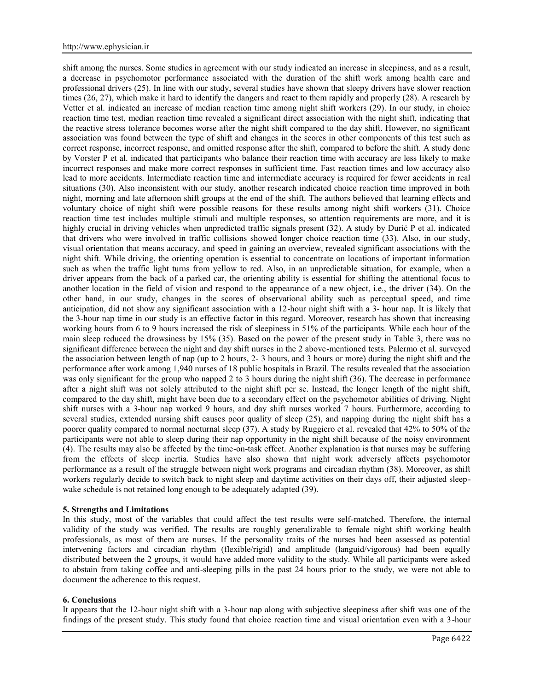shift among the nurses. Some studies in agreement with our study indicated an increase in sleepiness, and as a result, a decrease in psychomotor performance associated with the duration of the shift work among health care and professional drivers (25). In line with our study, several studies have shown that sleepy drivers have slower reaction times (26, 27), which make it hard to identify the dangers and react to them rapidly and properly (28). A research by Vetter et al. indicated an increase of median reaction time among night shift workers (29). In our study, in choice reaction time test, median reaction time revealed a significant direct association with the night shift, indicating that the reactive stress tolerance becomes worse after the night shift compared to the day shift. However, no significant association was found between the type of shift and changes in the scores in other components of this test such as correct response, incorrect response, and omitted response after the shift, compared to before the shift. A study done by Vorster P et al. indicated that participants who balance their reaction time with accuracy are less likely to make incorrect responses and make more correct responses in sufficient time. Fast reaction times and low accuracy also lead to more accidents. Intermediate reaction time and intermediate accuracy is required for fewer accidents in real situations (30). Also inconsistent with our study, another research indicated choice reaction time improved in both night, morning and late afternoon shift groups at the end of the shift. The authors believed that learning effects and voluntary choice of night shift were possible reasons for these results among night shift workers (31). Choice reaction time test includes multiple stimuli and multiple responses, so attention requirements are more, and it is highly crucial in driving vehicles when unpredicted traffic signals present (32). A study by Durić P et al. indicated that drivers who were involved in traffic collisions showed longer choice reaction time (33). Also, in our study, visual orientation that means accuracy, and speed in gaining an overview, revealed significant associations with the night shift. While driving, the orienting operation is essential to concentrate on locations of important information such as when the traffic light turns from yellow to red. Also, in an unpredictable situation, for example, when a driver appears from the back of a parked car, the orienting ability is essential for shifting the attentional focus to another location in the field of vision and respond to the appearance of a new object, i.e., the driver (34). On the other hand, in our study, changes in the scores of observational ability such as perceptual speed, and time anticipation, did not show any significant association with a 12-hour night shift with a 3- hour nap. It is likely that the 3-hour nap time in our study is an effective factor in this regard. Moreover, research has shown that increasing working hours from 6 to 9 hours increased the risk of sleepiness in 51% of the participants. While each hour of the main sleep reduced the drowsiness by 15% (35). Based on the power of the present study in Table 3, there was no significant difference between the night and day shift nurses in the 2 above-mentioned tests. Palermo et al. surveyed the association between length of nap (up to 2 hours, 2- 3 hours, and 3 hours or more) during the night shift and the performance after work among 1,940 nurses of 18 public hospitals in Brazil. The results revealed that the association was only significant for the group who napped 2 to 3 hours during the night shift (36). The decrease in performance after a night shift was not solely attributed to the night shift per se. Instead, the longer length of the night shift, compared to the day shift, might have been due to a secondary effect on the psychomotor abilities of driving. Night shift nurses with a 3-hour nap worked 9 hours, and day shift nurses worked 7 hours. Furthermore, according to several studies, extended nursing shift causes poor quality of sleep (25), and napping during the night shift has a poorer quality compared to normal nocturnal sleep (37). A study by Ruggiero et al. revealed that 42% to 50% of the participants were not able to sleep during their nap opportunity in the night shift because of the noisy environment (4). The results may also be affected by the time-on-task effect. Another explanation is that nurses may be suffering from the effects of sleep inertia. Studies have also shown that night work adversely affects psychomotor performance as a result of the struggle between night work programs and circadian rhythm (38). Moreover, as shift workers regularly decide to switch back to night sleep and daytime activities on their days off, their adjusted sleep wake schedule is not retained long enough to be adequately adapted (39).

#### **5. Strengths and Limitations**

In this study, most of the variables that could affect the test results were self-matched. Therefore, the internal validity of the study was verified. The results are roughly generalizable to female night shift working health professionals, as most of them are nurses. If the personality traits of the nurses had been assessed as potential intervening factors and circadian rhythm (flexible/rigid) and amplitude (languid/vigorous) had been equally distributed between the 2 groups, it would have added more validity to the study. While all participants were asked to abstain from taking coffee and anti-sleeping pills in the past 24 hours prior to the study, we were not able to document the adherence to this request.

#### **6. Conclusions**

It appears that the 12-hour night shift with a 3-hour nap along with subjective sleepiness after shift was one of the findings of the present study. This study found that choice reaction time and visual orientation even with a 3-hour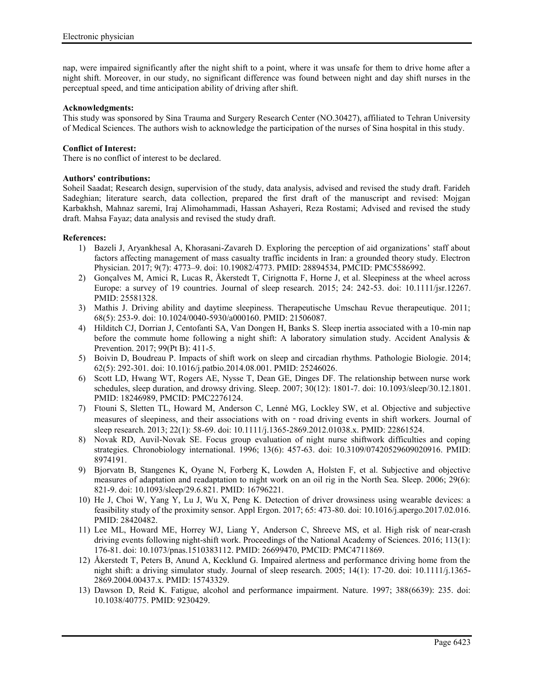nap, were impaired significantly after the night shift to a point, where it was unsafe for them to drive home after a night shift. Moreover, in our study, no significant difference was found between night and day shift nurses in the perceptual speed, and time anticipation ability of driving after shift.

#### **Acknowledgments:**

This study was sponsored by Sina Trauma and Surgery Research Center (NO.30427), affiliated to Tehran University of Medical Sciences. The authors wish to acknowledge the participation of the nurses of Sina hospital in this study.

#### **Conflict of Interest:**

There is no conflict of interest to be declared.

# **Authors' contributions:**

Soheil Saadat; Research design, supervision of the study, data analysis, advised and revised the study draft. Farideh Sadeghian; literature search, data collection, prepared the first draft of the manuscript and revised: Mojgan Karbakhsh, Mahnaz saremi, Iraj Alimohammadi, Hassan Ashayeri, Reza Rostami; Advised and revised the study draft. Mahsa Fayaz; data analysis and revised the study draft.

#### **References:**

- 1) Bazeli J, Aryankhesal A, Khorasani-Zavareh D. Exploring the perception of aid organizations' staff about factors affecting management of mass casualty traffic incidents in Iran: a grounded theory study. Electron Physician. 2017; 9(7): 4773–9. doi: 10.19082/4773. PMID: 28894534, PMCID: PMC5586992.
- 2) Gonçalves M, Amici R, Lucas R, Åkerstedt T, Cirignotta F, Horne J, et al. Sleepiness at the wheel across Europe: a survey of 19 countries. Journal of sleep research. 2015; 24: 242-53. doi: 10.1111/jsr.12267. PMID: 25581328.
- 3) Mathis J. Driving ability and daytime sleepiness. Therapeutische Umschau Revue therapeutique. 2011; 68(5): 253-9. doi: 10.1024/0040-5930/a000160. PMID: 21506087.
- 4) Hilditch CJ, Dorrian J, Centofanti SA, Van Dongen H, Banks S. Sleep inertia associated with a 10-min nap before the commute home following a night shift: A laboratory simulation study. Accident Analysis & Prevention. 2017; 99(Pt B): 411-5.
- 5) Boivin D, Boudreau P. Impacts of shift work on sleep and circadian rhythms. Pathologie Biologie. 2014; 62(5): 292-301. doi: 10.1016/j.patbio.2014.08.001. PMID: 25246026.
- 6) Scott LD, Hwang WT, Rogers AE, Nysse T, Dean GE, Dinges DF. The relationship between nurse work schedules, sleep duration, and drowsy driving. Sleep. 2007; 30(12): 1801-7. doi: 10.1093/sleep/30.12.1801. PMID: 18246989, PMCID: PMC2276124.
- 7) Ftouni S, Sletten TL, Howard M, Anderson C, Lenné MG, Lockley SW, et al. Objective and subjective measures of sleepiness, and their associations with on - road driving events in shift workers. Journal of sleep research. 2013; 22(1): 58-69. doi: 10.1111/j.1365-2869.2012.01038.x. PMID: 22861524.
- 8) Novak RD, Auvil-Novak SE. Focus group evaluation of night nurse shiftwork difficulties and coping strategies. Chronobiology international. 1996; 13(6): 457-63. doi: 10.3109/07420529609020916. PMID: 8974191.
- 9) Bjorvatn B, Stangenes K, Oyane N, Forberg K, Lowden A, Holsten F, et al. Subjective and objective measures of adaptation and readaptation to night work on an oil rig in the North Sea. Sleep. 2006; 29(6): 821-9. doi: 10.1093/sleep/29.6.821. PMID: 16796221.
- 10) He J, Choi W, Yang Y, Lu J, Wu X, Peng K. Detection of driver drowsiness using wearable devices: a feasibility study of the proximity sensor. Appl Ergon. 2017; 65: 473-80. doi: 10.1016/j.apergo.2017.02.016. PMID: 28420482.
- 11) Lee ML, Howard ME, Horrey WJ, Liang Y, Anderson C, Shreeve MS, et al. High risk of near-crash driving events following night-shift work. Proceedings of the National Academy of Sciences. 2016; 113(1): 176-81. doi: 10.1073/pnas.1510383112. PMID: 26699470, PMCID: PMC4711869.
- 12) Åkerstedt T, Peters B, Anund A, Kecklund G. Impaired alertness and performance driving home from the night shift: a driving simulator study. Journal of sleep research. 2005; 14(1): 17-20. doi: 10.1111/j.1365- 2869.2004.00437.x. PMID: 15743329.
- 13) Dawson D, Reid K. Fatigue, alcohol and performance impairment. Nature. 1997; 388(6639): 235. doi: 10.1038/40775. PMID: 9230429.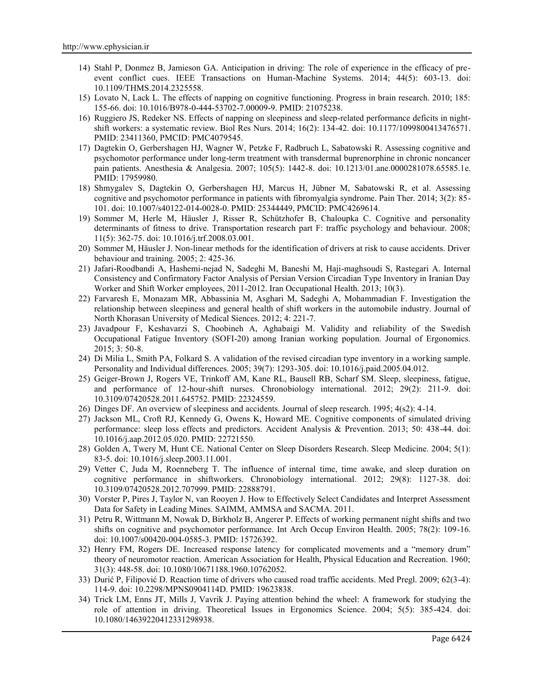- 14) Stahl P, Donmez B, Jamieson GA. Anticipation in driving: The role of experience in the efficacy of pre event conflict cues. IEEE Transactions on Human-Machine Systems. 2014; 44(5): 603-13. doi: 10.1109/THMS.2014.2325558.
- 15) Lovato N, Lack L. The effects of napping on cognitive functioning. Progress in brain research. 2010; 185: 155-66. doi: 10.1016/B978-0-444-53702-7.00009-9. PMID: 21075238.
- 16) Ruggiero JS, Redeker NS. Effects of napping on sleepiness and sleep-related performance deficits in night shift workers: a systematic review. Biol Res Nurs. 2014; 16(2): 134-42. doi: 10.1177/1099800413476571. PMID: 23411360, PMCID: PMC4079545.
- 17) Dagtekin O, Gerbershagen HJ, Wagner W, Petzke F, Radbruch L, Sabatowski R. Assessing cognitive and psychomotor performance under long-term treatment with transdermal buprenorphine in chronic noncancer pain patients. Anesthesia & Analgesia. 2007; 105(5): 1442-8. doi: 10.1213/01.ane.0000281078.65585.1e. PMID: 17959980.
- 18) Shmygalev S, Dagtekin O, Gerbershagen HJ, Marcus H, Jübner M, Sabatowski R, et al. Assessing cognitive and psychomotor performance in patients with fibromyalgia syndrome. Pain Ther. 2014; 3(2): 85- 101. doi: 10.1007/s40122-014-0028-0. PMID: 25344449, PMCID: PMC4269614.
- 19) Sommer M, Herle M, Häusler J, Risser R, Schützhofer B, Chaloupka C. Cognitive and personality determinants of fitness to drive. Transportation research part F: traffic psychology and behaviour. 2008; 11(5): 362-75. doi: 10.1016/j.trf.2008.03.001.
- 20) Sommer M, Häusler J. Non-linear methods for the identification of drivers at risk to cause accidents. Driver behaviour and training. 2005; 2: 425-36.
- 21) Jafari-Roodbandi A, Hashemi-nejad N, Sadeghi M, Baneshi M, Haji-maghsoudi S, Rastegari A. Internal Consistency and Confirmatory Factor Analysis of Persian Version Circadian Type Inventory in Iranian Day Worker and Shift Worker employees, 2011-2012. Iran Occupational Health. 2013; 10(3).
- 22) Farvaresh E, Monazam MR, Abbassinia M, Asghari M, Sadeghi A, Mohammadian F. Investigation the relationship between sleepiness and general health of shift workers in the automobile industry. Journal of North Khorasan University of Medical Siences. 2012; 4: 221-7.
- 23) Javadpour F, Keshavarzi S, Choobineh A, Aghabaigi M. Validity and reliability of the Swedish Occupational Fatigue Inventory (SOFI-20) among Iranian working population. Journal of Ergonomics. 2015; 3: 50-8.
- 24) Di Milia L, Smith PA, Folkard S. A validation of the revised circadian type inventory in a working sample. Personality and Individual differences. 2005; 39(7): 1293-305. doi: 10.1016/j.paid.2005.04.012.
- 25) Geiger-Brown J, Rogers VE, Trinkoff AM, Kane RL, Bausell RB, Scharf SM. Sleep, sleepiness, fatigue, and performance of 12-hour-shift nurses. Chronobiology international. 2012; 29(2): 211-9. doi: 10.3109/07420528.2011.645752. PMID: 22324559.
- 26) Dinges DF. An overview of sleepiness and accidents. Journal of sleep research. 1995; 4(s2): 4-14.
- 27) Jackson ML, Croft RJ, Kennedy G, Owens K, Howard ME. Cognitive components of simulated driving performance: sleep loss effects and predictors. Accident Analysis & Prevention. 2013; 50: 438-44. doi: 10.1016/j.aap.2012.05.020. PMID: 22721550.
- 28) Golden A, Twery M, Hunt CE. National Center on Sleep Disorders Research. Sleep Medicine. 2004; 5(1): 83-5. doi: 10.1016/j.sleep.2003.11.001.
- 29) Vetter C, Juda M, Roenneberg T. The influence of internal time, time awake, and sleep duration on cognitive performance in shiftworkers. Chronobiology international. 2012; 29(8): 1127-38. doi: 10.3109/07420528.2012.707999. PMID: 22888791.
- 30) Vorster P, Pires J, Taylor N, van Rooyen J. How to Effectively Select Candidates and Interpret Assessment Data for Safety in Leading Mines. SAIMM, AMMSA and SACMA. 2011.
- 31) Petru R, Wittmann M, Nowak D, Birkholz B, Angerer P. Effects of working permanent night shifts and two shifts on cognitive and psychomotor performance. Int Arch Occup Environ Health. 2005; 78(2): 109-16. doi: 10.1007/s00420-004-0585-3. PMID: 15726392.
- 32) Henry FM, Rogers DE. Increased response latency for complicated movements and a "memory drum" theory of neuromotor reaction. American Association for Health, Physical Education and Recreation. 1960; 31(3): 448-58. doi: 10.1080/10671188.1960.10762052.
- 33) Durić P, Filipović D. Reaction time of drivers who caused road traffic accidents. Med Pregl. 2009; 62(3-4): 114-9. doi: 10.2298/MPNS0904114D. PMID: 19623838.
- 34) Trick LM, Enns JT, Mills J, Vavrik J. Paying attention behind the wheel: A framework for studying the role of attention in driving. Theoretical Issues in Ergonomics Science. 2004; 5(5): 385-424. doi: 10.1080/14639220412331298938.